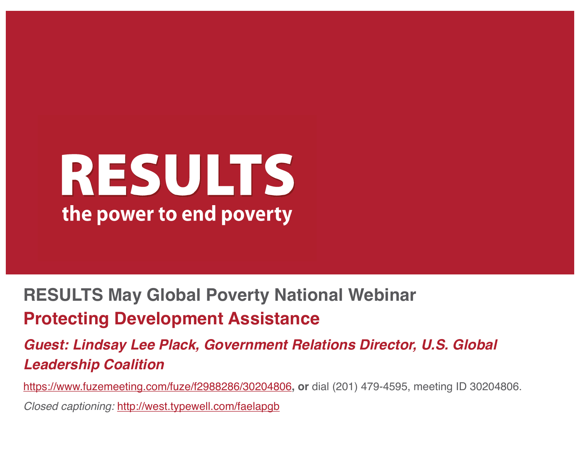## RESULTS the power to end poverty

#### **RESULTS May Global Poverty National Webinar Protecting Development Assistance**

#### *Guest: Lindsay Lee Plack, Government Relations Director, U.S. Global Leadership Coalition*

https://www.fuzemeeting.com/fuze/f2988286/30204806**, or** dial (201) 479-4595, meeting ID 30204806. *Closed captioning:* http://west.typewell.com/faelapgb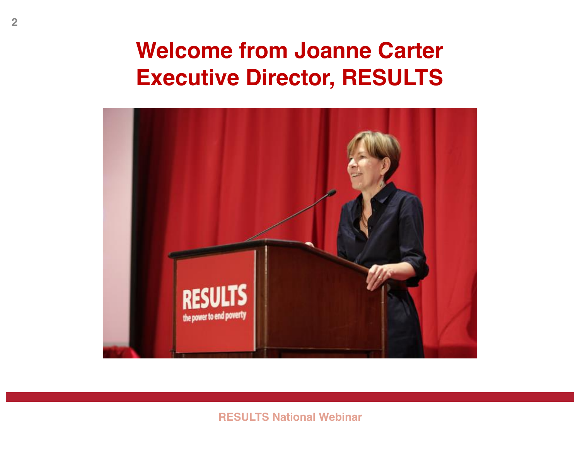### **Welcome from Joanne Carter Executive Director, RESULTS**



**RESULTS National Webinar**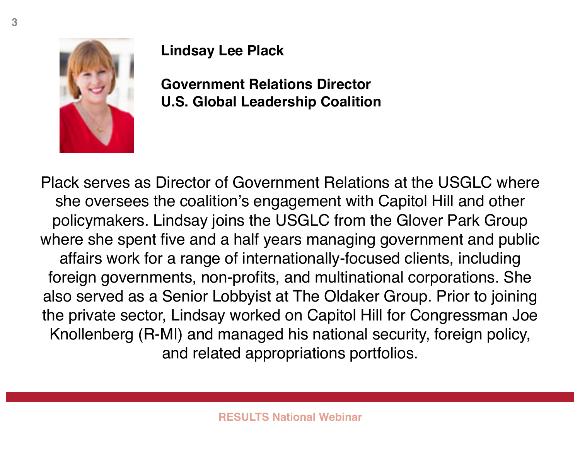

#### **Lindsay Lee Plack**

**Government Relations Director U.S. Global Leadership Coalition**

Plack serves as Director of Government Relations at the USGLC where she oversees the coalition's engagement with Capitol Hill and other policymakers. Lindsay joins the USGLC from the Glover Park Group where she spent five and a half years managing government and public affairs work for a range of internationally-focused clients, including foreign governments, non-profits, and multinational corporations. She also served as a Senior Lobbyist at The Oldaker Group. Prior to joining the private sector, Lindsay worked on Capitol Hill for Congressman Joe Knollenberg (R-MI) and managed his national security, foreign policy, and related appropriations portfolios.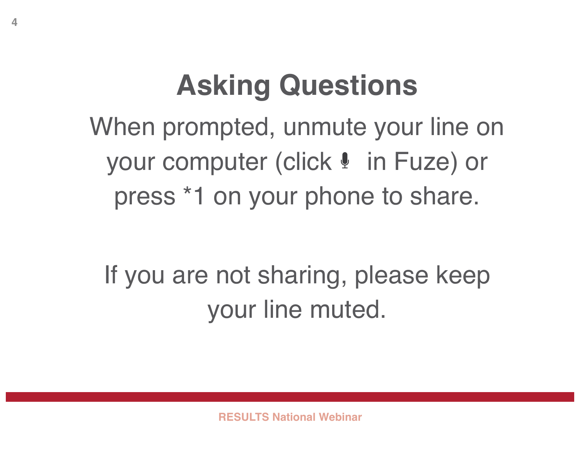### **Asking Questions**

When prompted, unmute your line on your computer (click  $\ell$  in Fuze) or press \*1 on your phone to share.

If you are not sharing, please keep your line muted.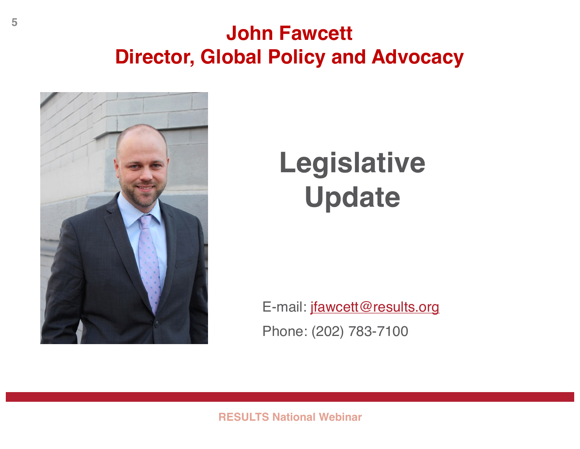#### **John Fawcett Director, Global Policy and Advocacy**



### **Legislative Update**

E-mail: jfawcett@results.org Phone: (202) 783-7100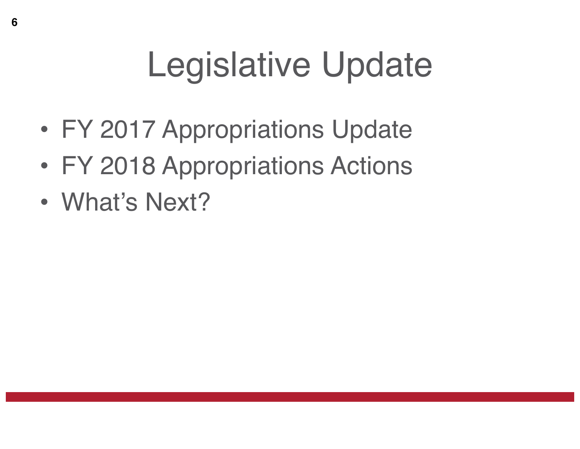# Legislative Update

- FY 2017 Appropriations Update
- FY 2018 Appropriations Actions
- What's Next?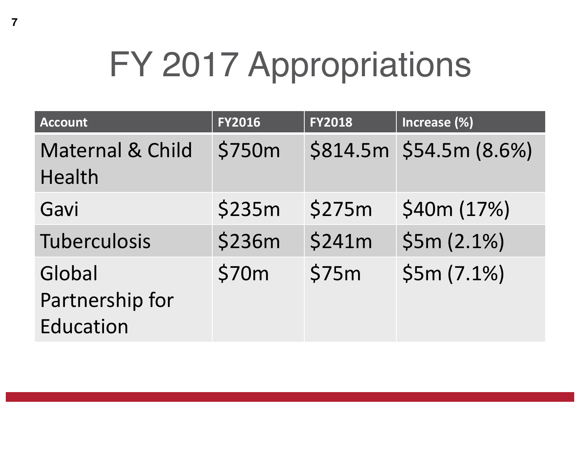# FY 2017 Appropriations

| <b>Account</b>                                | <b>FY2016</b> | <b>FY2018</b> | Increase (%)            |
|-----------------------------------------------|---------------|---------------|-------------------------|
| <b>Maternal &amp; Child</b><br>Health         | \$750m        |               | $$814.5m $54.5m $8.6\%$ |
| Gavi                                          | \$235m        | \$275m        | \$40m (17%)             |
| <b>Tuberculosis</b>                           | \$236m        | \$241m        | \$5m (2.1%)             |
| Global<br>Partnership for<br><b>Education</b> | \$70m         | \$75m         | \$5m (7.1%)             |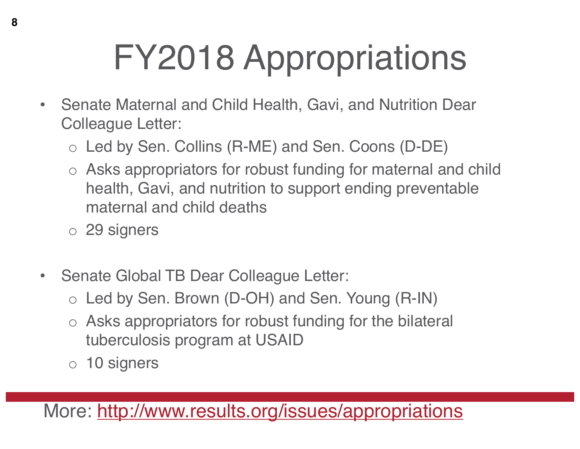# FY2018 Appropriations

- Senate Maternal and Child Health, Gavi, and Nutrition Dear Colleague Letter:
	- o Led by Sen. Collins (R-ME) and Sen. Coons (D-DE)
	- o Asks appropriators for robust funding for maternal and child health, Gavi, and nutrition to support ending preventable maternal and child deaths
	- o 29 signers
- Senate Global TB Dear Colleague Letter:
	- o Led by Sen. Brown (D-OH) and Sen. Young (R-IN)
	- o Asks appropriators for robust funding for the bilateral tuberculosis program at USAID
	- o 10 signers

More: http://www.results.org/issues/appropriations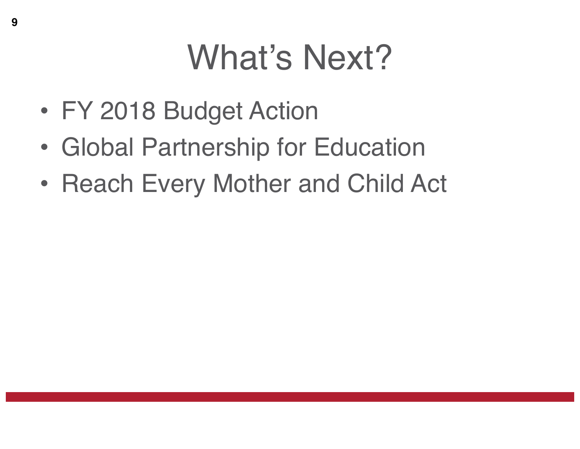# What's Next?

- FY 2018 Budget Action
- Global Partnership for Education
- Reach Every Mother and Child Act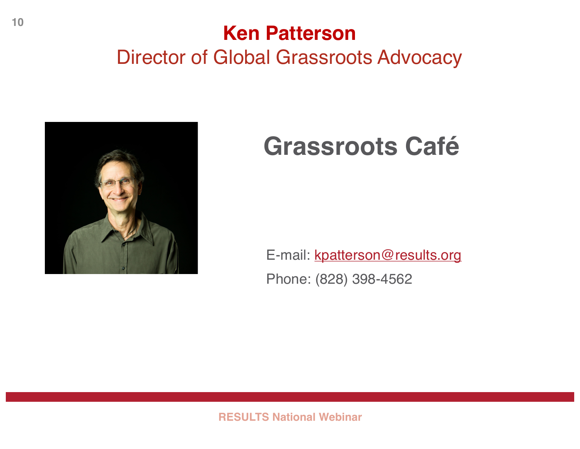### **Ken Patterson** Director of Global Grassroots Advocacy



### **Grassroots Café**

E-mail: kpatterson@results.org Phone: (828) 398-4562

**RESULTS National Webinar**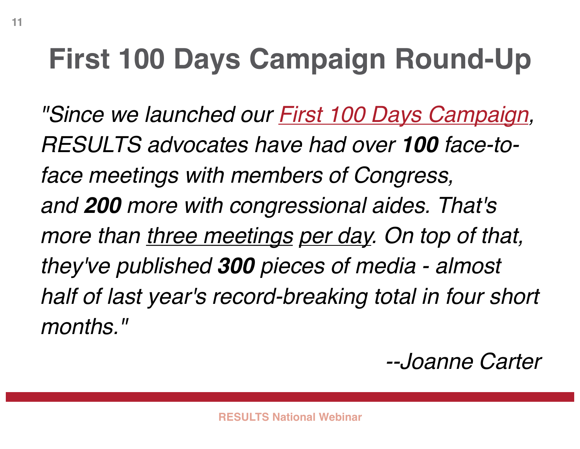## **First 100 Days Campaign Round-Up**

*"Since we launched our First 100 Days Campaign, RESULTS advocates have had over 100 face-toface meetings with members of Congress, and 200 more with congressional aides. That's more than three meetings per day. On top of that, they've published 300 pieces of media - almost half of last year's record-breaking total in four short months."*

*--Joanne Carter*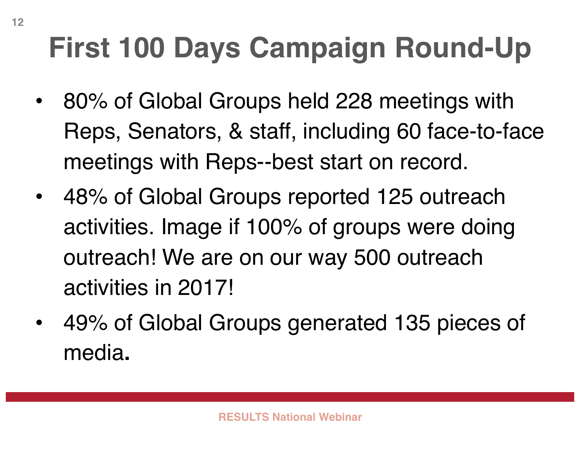## **First 100 Days Campaign Round-Up**

- 80% of Global Groups held 228 meetings with Reps, Senators, & staff, including 60 face-to-face meetings with Reps--best start on record.
- 48% of Global Groups reported 125 outreach activities. Image if 100% of groups were doing outreach! We are on our way 500 outreach activities in 2017!
- 49% of Global Groups generated 135 pieces of media**.**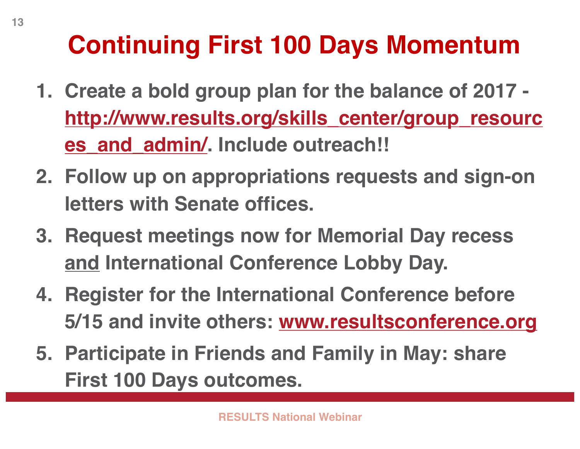### **Continuing First 100 Days Momentum**

- **1. Create a bold group plan for the balance of 2017 http://www.results.org/skills\_center/group\_resourc es\_and\_admin/. Include outreach!!**
- **2. Follow up on appropriations requests and sign-on letters with Senate offices.**
- **3. Request meetings now for Memorial Day recess and International Conference Lobby Day.**
- **4. Register for the International Conference before 5/15 and invite others: www.resultsconference.org**
- **5. Participate in Friends and Family in May: share First 100 Days outcomes.**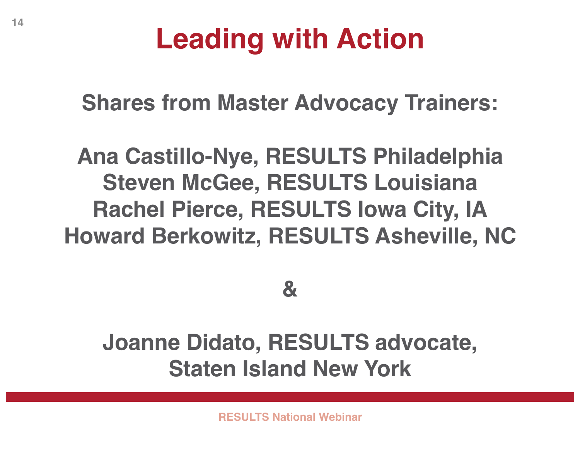### **Leading with Action**

**Shares from Master Advocacy Trainers:**

### **Ana Castillo-Nye, RESULTS Philadelphia Steven McGee, RESULTS Louisiana Rachel Pierce, RESULTS Iowa City, IA Howard Berkowitz, RESULTS Asheville, NC**

### **&**

### **Joanne Didato, RESULTS advocate, Staten Island New York**

**RESULTS National Webinar**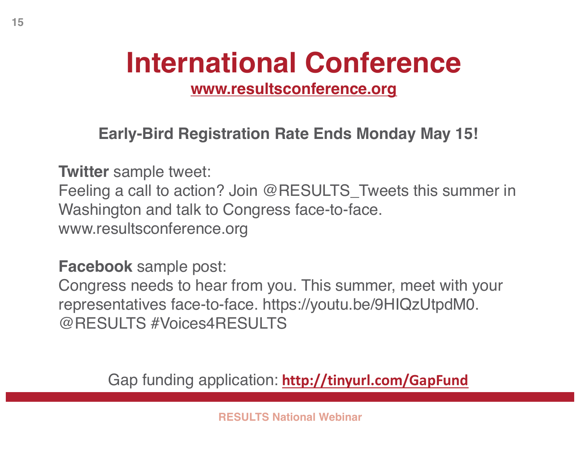## **International Conference**

**www.resultsconference.org**

**Early-Bird Registration Rate Ends Monday May 15!**

**Twitter** sample tweet:

Feeling a call to action? Join @RESULTS\_Tweets this summer in Washington and talk to Congress face-to-face. www.resultsconference.org

**Facebook** sample post:

Congress needs to hear from you. This summer, meet with your representatives face-to-face. https://youtu.be/9HIQzUtpdM0. @RESULTS #Voices4RESULTS

Gap funding application: **http://tinyurl.com/GapFund**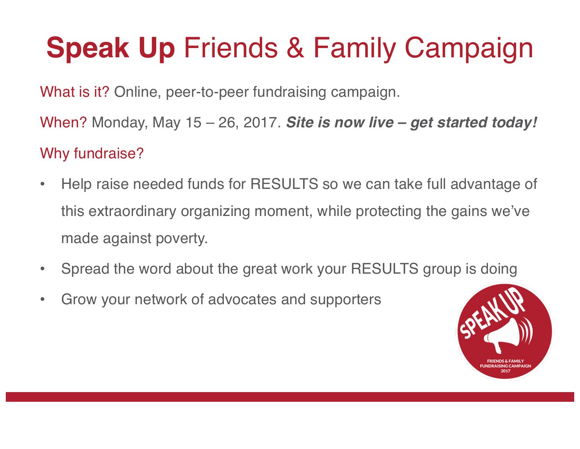## **Speak Up** Friends & Family Campaign

What is it? Online, peer-to-peer fundraising campaign.

When? Monday, May 15 – 26, 2017. *Site is now live – get started today!* Why fundraise?

- Help raise needed funds for RESULTS so we can take full advantage of this extraordinary organizing moment, while protecting the gains we've made against poverty.
- Spread the word about the great work your RESULTS group is doing
- Grow your network of advocates and supporters

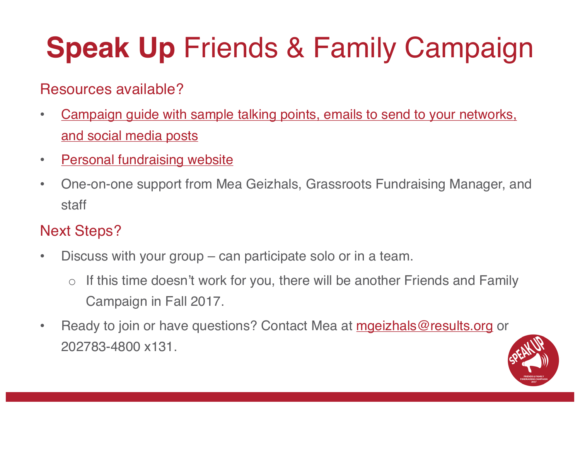## **Speak Up** Friends & Family Campaign

#### Resources available?

- Campaign guide with sample talking points, emails to send to your networks, and social media posts
- Personal fundraising website
- One-on-one support from Mea Geizhals, Grassroots Fundraising Manager, and staff

#### Next Steps?

- Discuss with your group can participate solo or in a team.
	- If this time doesn't work for you, there will be another Friends and Family Campaign in Fall 2017.
- Ready to join or have questions? Contact Mea at mgeizhals@results.org or 202783-4800 x131.

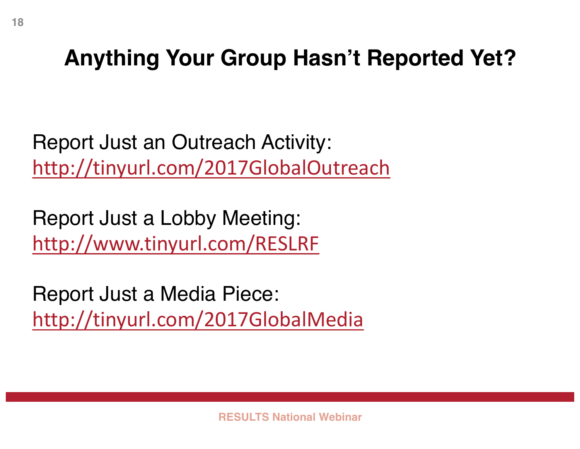### **Anything Your Group Hasn't Reported Yet?**

Report Just an Outreach Activity: http://tinyurl.com/2017GlobalOutreach

Report Just a Lobby Meeting: http://www.tinyurl.com/RESLRF

Report Just a Media Piece: http://tinyurl.com/2017GlobalMedia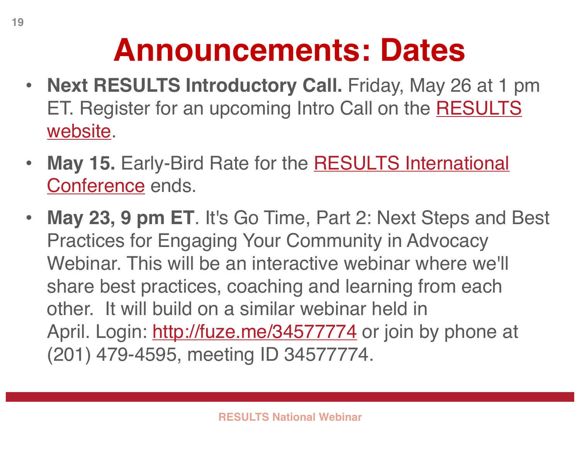## **Announcements: Dates**

- **Next RESULTS Introductory Call.** Friday, May 26 at 1 pm ET. Register for an upcoming Intro Call on the RESULTS website.
- May 15. Early-Bird Rate for the **RESULTS International** Conference ends.
- **May 23, 9 pm ET**. It's Go Time, Part 2: Next Steps and Best Practices for Engaging Your Community in Advocacy Webinar. This will be an interactive webinar where we'll share best practices, coaching and learning from each other. It will build on a similar webinar held in April. Login: http://fuze.me/34577774 or join by phone at (201) 479-4595, meeting ID 34577774.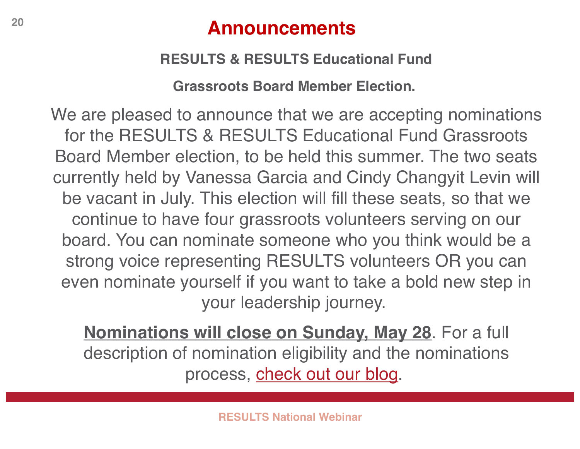#### **<sup>20</sup> Announcements**

#### **RESULTS & RESULTS Educational Fund**

**Grassroots Board Member Election.**

We are pleased to announce that we are accepting nominations for the RESULTS & RESULTS Educational Fund Grassroots Board Member election, to be held this summer. The two seats currently held by Vanessa Garcia and Cindy Changyit Levin will be vacant in July. This election will fill these seats, so that we continue to have four grassroots volunteers serving on our board. You can nominate someone who you think would be a strong voice representing RESULTS volunteers OR you can even nominate yourself if you want to take a bold new step in your leadership journey.

**Nominations will close on Sunday, May 28**. For a full description of nomination eligibility and the nominations process, check out our blog.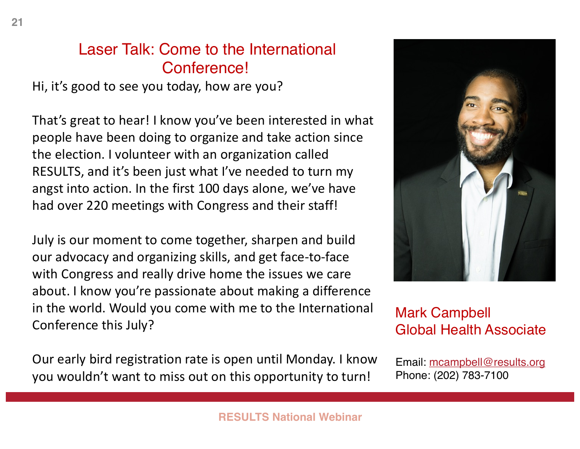#### Laser Talk: Come to the International Conference!

Hi, it's good to see you today, how are you?

That's great to hear! I know you've been interested in what people have been doing to organize and take action since the election. I volunteer with an organization called RESULTS, and it's been just what I've needed to turn my angst into action. In the first 100 days alone, we've have had over 220 meetings with Congress and their staff!

July is our moment to come together, sharpen and build our advocacy and organizing skills, and get face-to-face with Congress and really drive home the issues we care about. I know you're passionate about making a difference in the world. Would you come with me to the International Conference this July?

Our early bird registration rate is open until Monday. I know you wouldn't want to miss out on this opportunity to turn!

#### Mark Campbell Global Health Associate

Email: mcampbell@results.org Phone: (202) 783-7100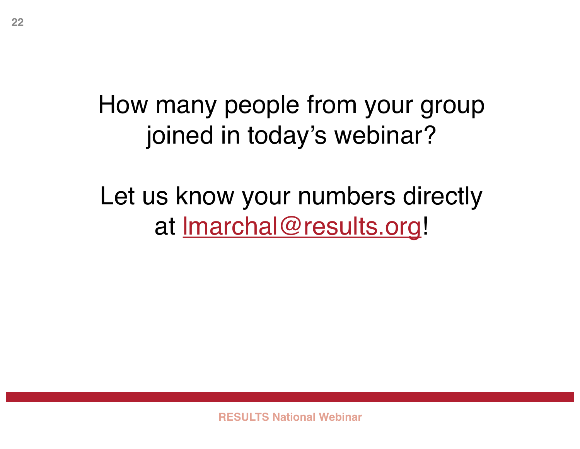### How many people from your group joined in today's webinar?

### Let us know your numbers directly at <u>Imarchal@results.org</u>!